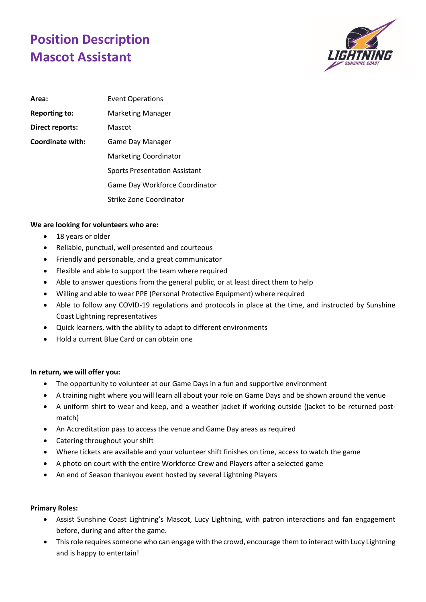## **Position Description Mascot Assistant**



| Area:                   | <b>Event Operations</b>              |
|-------------------------|--------------------------------------|
| <b>Reporting to:</b>    | <b>Marketing Manager</b>             |
| Direct reports:         | Mascot                               |
| <b>Coordinate with:</b> | <b>Game Day Manager</b>              |
|                         | <b>Marketing Coordinator</b>         |
|                         | <b>Sports Presentation Assistant</b> |
|                         | Game Day Workforce Coordinator       |
|                         | <b>Strike Zone Coordinator</b>       |

## **We are looking for volunteers who are:**

- 18 years or older
- Reliable, punctual, well presented and courteous
- Friendly and personable, and a great communicator
- Flexible and able to support the team where required
- Able to answer questions from the general public, or at least direct them to help
- Willing and able to wear PPE (Personal Protective Equipment) where required
- Able to follow any COVID-19 regulations and protocols in place at the time, and instructed by Sunshine Coast Lightning representatives
- Quick learners, with the ability to adapt to different environments
- Hold a current Blue Card or can obtain one

## **In return, we will offer you:**

- The opportunity to volunteer at our Game Days in a fun and supportive environment
- A training night where you will learn all about your role on Game Days and be shown around the venue
- A uniform shirt to wear and keep, and a weather jacket if working outside (jacket to be returned postmatch)
- An Accreditation pass to access the venue and Game Day areas as required
- Catering throughout your shift
- Where tickets are available and your volunteer shift finishes on time, access to watch the game
- A photo on court with the entire Workforce Crew and Players after a selected game
- An end of Season thankyou event hosted by several Lightning Players

## **Primary Roles:**

- Assist Sunshine Coast Lightning's Mascot, Lucy Lightning, with patron interactions and fan engagement before, during and after the game.
- This role requires someone who can engage with the crowd, encourage them to interact with Lucy Lightning and is happy to entertain!